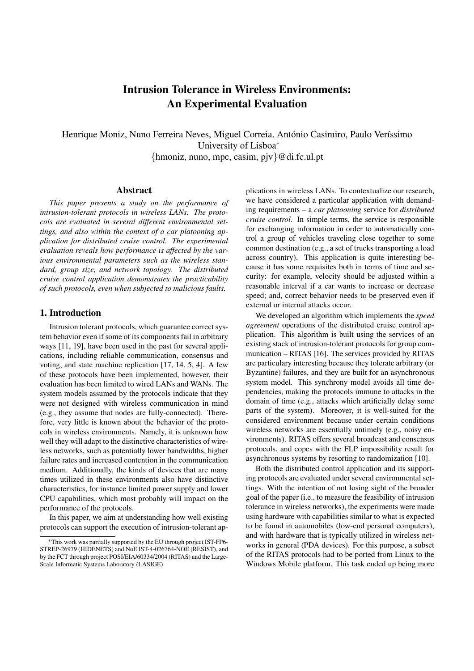# **Intrusion Tolerance in Wireless Environments: An Experimental Evaluation**

Henrique Moniz, Nuno Ferreira Neves, Miguel Correia, António Casimiro, Paulo Veríssimo University of Lisboa<sup>∗</sup> {hmoniz, nuno, mpc, casim, pjv}@di.fc.ul.pt

# **Abstract**

*This paper presents a study on the performance of intrusion-tolerant protocols in wireless LANs. The protocols are evaluated in several different environmental settings, and also within the context of a car platooning application for distributed cruise control. The experimental evaluation reveals how performance is affected by the various environmental parameters such as the wireless standard, group size, and network topology. The distributed cruise control application demonstrates the practicability of such protocols, even when subjected to malicious faults.*

# **1. Introduction**

Intrusion tolerant protocols, which guarantee correct system behavior even if some of its components fail in arbitrary ways [11, 19], have been used in the past for several applications, including reliable communication, consensus and voting, and state machine replication [17, 14, 5, 4]. A few of these protocols have been implemented, however, their evaluation has been limited to wired LANs and WANs. The system models assumed by the protocols indicate that they were not designed with wireless communication in mind (e.g., they assume that nodes are fully-connected). Therefore, very little is known about the behavior of the protocols in wireless environments. Namely, it is unknown how well they will adapt to the distinctive characteristics of wireless networks, such as potentially lower bandwidths, higher failure rates and increased contention in the communication medium. Additionally, the kinds of devices that are many times utilized in these environments also have distinctive characteristics, for instance limited power supply and lower CPU capabilities, which most probably will impact on the performance of the protocols.

In this paper, we aim at understanding how well existing protocols can support the execution of intrusion-tolerant applications in wireless LANs. To contextualize our research, we have considered a particular application with demanding requirements – a *car platooning* service for *distributed cruise control*. In simple terms, the service is responsible for exchanging information in order to automatically control a group of vehicles traveling close together to some common destination (e.g., a set of trucks transporting a load across country). This application is quite interesting because it has some requisites both in terms of time and security: for example, velocity should be adjusted within a reasonable interval if a car wants to increase or decrease speed; and, correct behavior needs to be preserved even if external or internal attacks occur.

We developed an algorithm which implements the *speed agreement* operations of the distributed cruise control application. This algorithm is built using the services of an existing stack of intrusion-tolerant protocols for group communication – RITAS [16]. The services provided by RITAS are particulary interesting because they tolerate arbitrary (or Byzantine) failures, and they are built for an asynchronous system model. This synchrony model avoids all time dependencies, making the protocols immune to attacks in the domain of time (e.g., attacks which artificially delay some parts of the system). Moreover, it is well-suited for the considered environment because under certain conditions wireless networks are essentially untimely (e.g., noisy environments). RITAS offers several broadcast and consensus protocols, and copes with the FLP impossibility result for asynchronous systems by resorting to randomization [10].

Both the distributed control application and its supporting protocols are evaluated under several environmental settings. With the intention of not losing sight of the broader goal of the paper (i.e., to measure the feasibility of intrusion tolerance in wireless networks), the experiments were made using hardware with capabilities similar to what is expected to be found in automobiles (low-end personal computers), and with hardware that is typically utilized in wireless networks in general (PDA devices). For this purpose, a subset of the RITAS protocols had to be ported from Linux to the Windows Mobile platform. This task ended up being more

<sup>∗</sup>This work was partially supported by the EU through project IST-FP6- STREP-26979 (HIDENETS) and NoE IST-4-026764-NOE (RESIST), and by the FCT through project POSI/EIA/60334/2004 (RITAS) and the Large-Scale Informatic Systems Laboratory (LASIGE)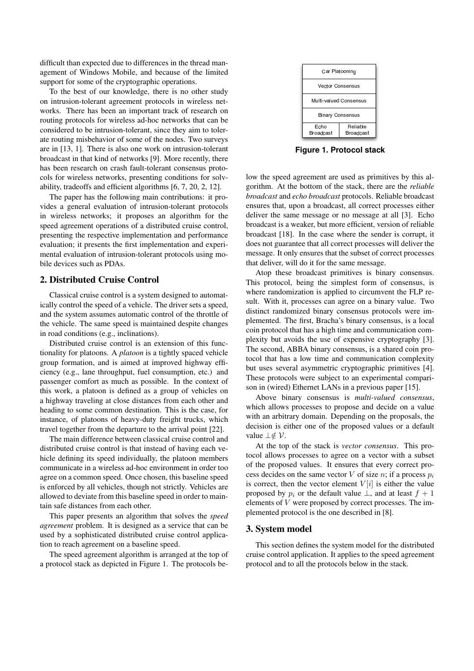difficult than expected due to differences in the thread management of Windows Mobile, and because of the limited support for some of the cryptographic operations.

To the best of our knowledge, there is no other study on intrusion-tolerant agreement protocols in wireless networks. There has been an important track of research on routing protocols for wireless ad-hoc networks that can be considered to be intrusion-tolerant, since they aim to tolerate routing misbehavior of some of the nodes. Two surveys are in [13, 1]. There is also one work on intrusion-tolerant broadcast in that kind of networks [9]. More recently, there has been research on crash fault-tolerant consensus protocols for wireless networks, presenting conditions for solvability, tradeoffs and efficient algorithms [6, 7, 20, 2, 12].

The paper has the following main contributions: it provides a general evaluation of intrusion-tolerant protocols in wireless networks; it proposes an algorithm for the speed agreement operations of a distributed cruise control, presenting the respective implementation and performance evaluation; it presents the first implementation and experimental evaluation of intrusion-tolerant protocols using mobile devices such as PDAs.

### **2. Distributed Cruise Control**

Classical cruise control is a system designed to automatically control the speed of a vehicle. The driver sets a speed, and the system assumes automatic control of the throttle of the vehicle. The same speed is maintained despite changes in road conditions (e.g., inclinations).

Distributed cruise control is an extension of this functionality for platoons. A *platoon* is a tightly spaced vehicle group formation, and is aimed at improved highway efficiency (e.g., lane throughput, fuel consumption, etc.) and passenger comfort as much as possible. In the context of this work, a platoon is defined as a group of vehicles on a highway traveling at close distances from each other and heading to some common destination. This is the case, for instance, of platoons of heavy-duty freight trucks, which travel together from the departure to the arrival point [22].

The main difference between classical cruise control and distributed cruise control is that instead of having each vehicle defining its speed individually, the platoon members communicate in a wireless ad-hoc environment in order too agree on a common speed. Once chosen, this baseline speed is enforced by all vehicles, though not strictly. Vehicles are allowed to deviate from this baseline speed in order to maintain safe distances from each other.

This paper presents an algorithm that solves the *speed agreement* problem. It is designed as a service that can be used by a sophisticated distributed cruise control application to reach agreement on a baseline speed.

The speed agreement algorithm is arranged at the top of a protocol stack as depicted in Figure 1. The protocols be-



**Figure 1. Protocol stack**

low the speed agreement are used as primitives by this algorithm. At the bottom of the stack, there are the *reliable broadcast* and *echo broadcast* protocols. Reliable broadcast ensures that, upon a broadcast, all correct processes either deliver the same message or no message at all [3]. Echo broadcast is a weaker, but more efficient, version of reliable broadcast [18]. In the case where the sender is corrupt, it does not guarantee that all correct processes will deliver the message. It only ensures that the subset of correct processes that deliver, will do it for the same message.

Atop these broadcast primitives is binary consensus. This protocol, being the simplest form of consensus, is where randomization is applied to circumvent the FLP result. With it, processes can agree on a binary value. Two distinct randomized binary consensus protocols were implemented. The first, Bracha's binary consensus, is a local coin protocol that has a high time and communication complexity but avoids the use of expensive cryptography [3]. The second, ABBA binary consensus, is a shared coin protocol that has a low time and communication complexity but uses several asymmetric cryptographic primitives [4]. These protocols were subject to an experimental comparison in (wired) Ethernet LANs in a previous paper [15].

Above binary consensus is *multi-valued consensus*, which allows processes to propose and decide on a value with an arbitrary domain. Depending on the proposals, the decision is either one of the proposed values or a default value  $⊥$ ∉  $V$ .

At the top of the stack is *vector consensus*. This protocol allows processes to agree on a vector with a subset of the proposed values. It ensures that every correct process decides on the same vector V of size n; if a process  $p_i$ is correct, then the vector element  $V[i]$  is either the value proposed by  $p_i$  or the default value  $\perp$ , and at least  $f + 1$ elements of V were proposed by correct processes. The implemented protocol is the one described in [8].

# **3. System model**

This section defines the system model for the distributed cruise control application. It applies to the speed agreement protocol and to all the protocols below in the stack.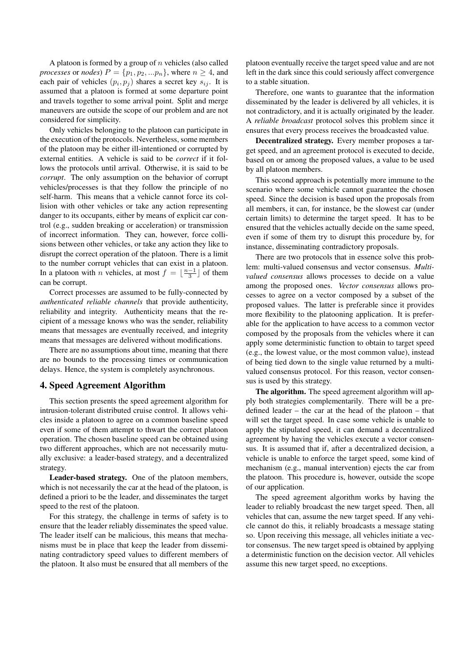A platoon is formed by a group of  $n$  vehicles (also called *processes* or *nodes*)  $P = \{p_1, p_2, ... p_n\}$ , where  $n \geq 4$ , and each pair of vehicles  $(p_i, p_j)$  shares a secret key  $s_{ij}$ . It is assumed that a platoon is formed at some departure point and travels together to some arrival point. Split and merge maneuvers are outside the scope of our problem and are not considered for simplicity.

Only vehicles belonging to the platoon can participate in the execution of the protocols. Nevertheless, some members of the platoon may be either ill-intentioned or corrupted by external entities. A vehicle is said to be *correct* if it follows the protocols until arrival. Otherwise, it is said to be *corrupt*. The only assumption on the behavior of corrupt vehicles/processes is that they follow the principle of no self-harm. This means that a vehicle cannot force its collision with other vehicles or take any action representing danger to its occupants, either by means of explicit car control (e.g., sudden breaking or acceleration) or transmission of incorrect information. They can, however, force collisions between other vehicles, or take any action they like to disrupt the correct operation of the platoon. There is a limit to the number corrupt vehicles that can exist in a platoon. In a platoon with *n* vehicles, at most  $f = \lfloor \frac{n-1}{3} \rfloor$  of them can be corrupt.

Correct processes are assumed to be fully-connected by *authenticated reliable channels* that provide authenticity, reliability and integrity. Authenticity means that the recipient of a message knows who was the sender, reliability means that messages are eventually received, and integrity means that messages are delivered without modifications.

There are no assumptions about time, meaning that there are no bounds to the processing times or communication delays. Hence, the system is completely asynchronous.

### **4. Speed Agreement Algorithm**

This section presents the speed agreement algorithm for intrusion-tolerant distributed cruise control. It allows vehicles inside a platoon to agree on a common baseline speed even if some of them attempt to thwart the correct platoon operation. The chosen baseline speed can be obtained using two different approaches, which are not necessarily mutually exclusive: a leader-based strategy, and a decentralized strategy.

**Leader-based strategy.** One of the platoon members, which is not necessarily the car at the head of the platoon, is defined a priori to be the leader, and disseminates the target speed to the rest of the platoon.

For this strategy, the challenge in terms of safety is to ensure that the leader reliably disseminates the speed value. The leader itself can be malicious, this means that mechanisms must be in place that keep the leader from disseminating contradictory speed values to different members of the platoon. It also must be ensured that all members of the platoon eventually receive the target speed value and are not left in the dark since this could seriously affect convergence to a stable situation.

Therefore, one wants to guarantee that the information disseminated by the leader is delivered by all vehicles, it is not contradictory, and it is actually originated by the leader. A *reliable broadcast* protocol solves this problem since it ensures that every process receives the broadcasted value.

**Decentralized strategy.** Every member proposes a target speed, and an agreement protocol is executed to decide, based on or among the proposed values, a value to be used by all platoon members.

This second approach is potentially more immune to the scenario where some vehicle cannot guarantee the chosen speed. Since the decision is based upon the proposals from all members, it can, for instance, be the slowest car (under certain limits) to determine the target speed. It has to be ensured that the vehicles actually decide on the same speed, even if some of them try to disrupt this procedure by, for instance, disseminating contradictory proposals.

There are two protocols that in essence solve this problem: multi-valued consensus and vector consensus. *Multivalued consensus* allows processes to decide on a value among the proposed ones. *Vector consensus* allows processes to agree on a vector composed by a subset of the proposed values. The latter is preferable since it provides more flexibility to the platooning application. It is preferable for the application to have access to a common vector composed by the proposals from the vehicles where it can apply some deterministic function to obtain to target speed (e.g., the lowest value, or the most common value), instead of being tied down to the single value returned by a multivalued consensus protocol. For this reason, vector consensus is used by this strategy.

**The algorithm.** The speed agreement algorithm will apply both strategies complementarily. There will be a predefined leader – the car at the head of the platoon – that will set the target speed. In case some vehicle is unable to apply the stipulated speed, it can demand a decentralized agreement by having the vehicles execute a vector consensus. It is assumed that if, after a decentralized decision, a vehicle is unable to enforce the target speed, some kind of mechanism (e.g., manual intervention) ejects the car from the platoon. This procedure is, however, outside the scope of our application.

The speed agreement algorithm works by having the leader to reliably broadcast the new target speed. Then, all vehicles that can, assume the new target speed. If any vehicle cannot do this, it reliably broadcasts a message stating so. Upon receiving this message, all vehicles initiate a vector consensus. The new target speed is obtained by applying a deterministic function on the decision vector. All vehicles assume this new target speed, no exceptions.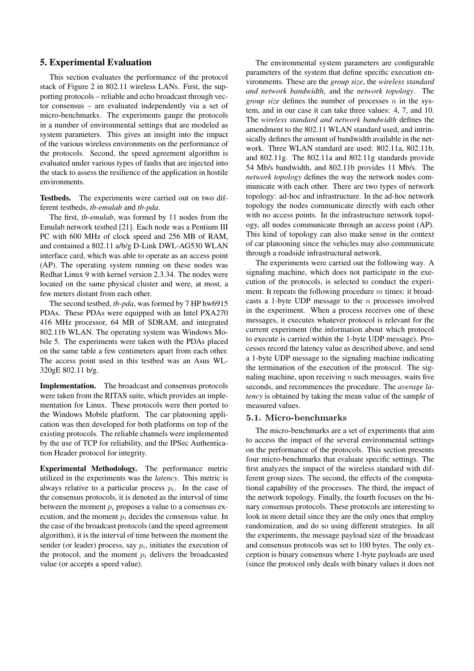# **5. Experimental Evaluation**

This section evaluates the performance of the protocol stack of Figure 2 in 802.11 wireless LANs. First, the supporting protocols – reliable and echo broadcast through vector consensus – are evaluated independently via a set of micro-benchmarks. The experiments gauge the protocols in a number of environmental settings that are modeled as system parameters. This gives an insight into the impact of the various wireless environments on the performance of the protocols. Second, the speed agreement algorithm is evaluated under various types of faults that are injected into the stack to assess the resilience of the application in hostile environments.

**Testbeds.** The experiments were carried out on two different testbeds, *tb-emulab* and *tb-pda*.

The first, *tb-emulab*, was formed by 11 nodes from the Emulab network testbed [21]. Each node was a Pentium III PC with 600 MHz of clock speed and 256 MB of RAM, and contained a 802.11 a/b/g D-Link DWL-AG530 WLAN interface card, which was able to operate as an access point (AP). The operating system running on these nodes was Redhat Linux 9 with kernel version 2.3.34. The nodes were located on the same physical cluster and were, at most, a few meters distant from each other.

The second testbed, *tb-pda*, was formed by 7 HP hw6915 PDAs. These PDAs were equipped with an Intel PXA270 416 MHz processor, 64 MB of SDRAM, and integrated 802.11b WLAN. The operating system was Windows Mobile 5. The experiments were taken with the PDAs placed on the same table a few centimeters apart from each other. The access point used in this testbed was an Asus WL-320gE 802.11 b/g.

**Implementation.** The broadcast and consensus protocols were taken from the RITAS suite, which provides an implementation for Linux. These protocols were then ported to the Windows Mobile platform. The car platooning application was then developed for both platforms on top of the existing protocols. The reliable channels were implemented by the use of TCP for reliability, and the IPSec Authentication Header protocol for integrity.

**Experimental Methodology.** The performance metric utilized in the experiments was the *latency*. This metric is always relative to a particular process  $p_i$ . In the case of the consensus protocols, it is denoted as the interval of time between the moment  $p_i$  proposes a value to a consensus execution, and the moment  $p_i$  decides the consensus value. In the case of the broadcast protocols (and the speed agreement algorithm), it is the interval of time between the moment the sender (or leader) process, say  $p_i$ , initiates the execution of the protocol, and the moment  $p_i$  delivers the broadcasted value (or accepts a speed value).

The environmental system parameters are configurable parameters of the system that define specific execution environments. These are the *group size*, the *wireless standard and network bandwidth*, and the *network topology*. The *group size* defines the number of processes  $n$  in the system, and in our case it can take three values: 4, 7, and 10. The *wireless standard and network bandwidth* defines the amendment to the 802.11 WLAN standard used, and intrinsically defines the amount of bandwidth available in the network. Three WLAN standard are used: 802.11a, 802.11b, and 802.11g. The 802.11a and 802.11g standards provide 54 Mb/s bandwidth, and 802.11b provides 11 Mb/s. The *network topology* defines the way the network nodes communicate with each other. There are two types of network topology: ad-hoc and infrastructure. In the ad-hoc network topology the nodes communicate directly with each other with no access points. In the infrastructure network topology, all nodes communicate through an access point (AP). This kind of topology can also make sense in the context of car platooning since the vehicles may also communicate through a roadside infrastructural network.

The experiments were carried out the following way. A signaling machine, which does not participate in the execution of the protocols, is selected to conduct the experiment. It repeats the following procedure  $m$  times: it broadcasts a 1-byte UDP message to the  $n$  processes involved in the experiment. When a process receives one of these messages, it executes whatever protocol is relevant for the current experiment (the information about which protocol to execute is carried within the 1-byte UDP message). Processes record the latency value as described above, and send a 1-byte UDP message to the signaling machine indicating the termination of the execution of the protocol. The signaling machine, upon receiving  $n$  such messages, waits five seconds, and recommences the procedure. The *average latency* is obtained by taking the mean value of the sample of measured values.

#### 5.1. Micro-benchmarks

The micro-benchmarks are a set of experiments that aim to access the impact of the several environmental settings on the performance of the protocols. This section presents four micro-benchmarks that evaluate specific settings. The first analyzes the impact of the wireless standard with different group sizes. The second, the effects of the computational capability of the processes. The third, the impact of the network topology. Finally, the fourth focuses on the binary consensus protocols. These protocols are interesting to look in more detail since they are the only ones that employ randomization, and do so using different strategies. In all the experiments, the message payload size of the broadcast and consensus protocols was set to 100 bytes. The only exception is binary consensus where 1-byte payloads are used (since the protocol only deals with binary values it does not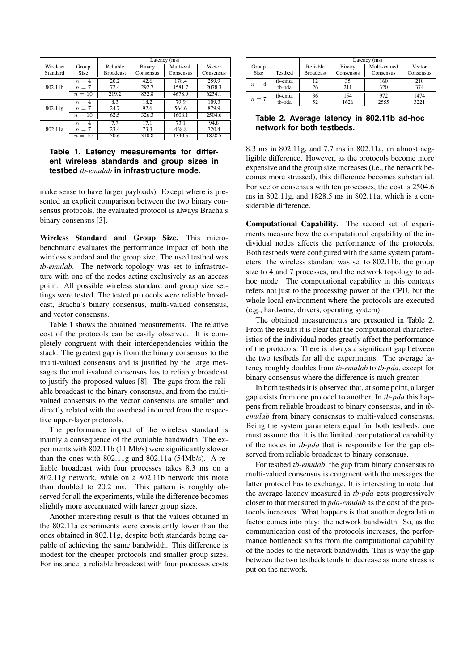|          |             | Latency (ms)     |           |            |           |
|----------|-------------|------------------|-----------|------------|-----------|
| Wireless | Group       | Reliable         | Binary    | Multi-val. | Vector    |
| Standard | <b>Size</b> | <b>Broadcast</b> | Consensus | Consensus  | Consensus |
| 802.11b  | $n=4$       | 20.2             | 42.6      | 178.4      | 259.9     |
|          | $n=7$       | 72.4             | 292.7     | 1581.7     | 2078.3    |
|          | $n=10$      | 219.2            | 832.8     | 4678.9     | 6234.1    |
| 802.11g  | $n=4$       | 8.3              | 18.2      | 79.9       | 109.3     |
|          | $n=7$       | 24.7             | 92.6      | 564.6      | 879.9     |
|          | $n=10$      | 62.5             | 326.3     | 1608.1     | 2504.6    |
| 802.11a  | $n=4$       | 7.7              | 171       | 731        | 94.8      |
|          | $n=7$       | 23.4             | 73.3      | 438.8      | 720.4     |
|          | $n = 10$    | 50.6             | 310.8     | 1340.5     | 1828.5    |

### **Table 1. Latency measurements for different wireless standards and group sizes in testbed** *tb-emulab* **in infrastructure mode.**

make sense to have larger payloads). Except where is presented an explicit comparison between the two binary consensus protocols, the evaluated protocol is always Bracha's binary consensus [3].

**Wireless Standard and Group Size.** This microbenchmark evaluates the performance impact of both the wireless standard and the group size. The used testbed was *tb-emulab*. The network topology was set to infrastructure with one of the nodes acting exclusively as an access point. All possible wireless standard and group size settings were tested. The tested protocols were reliable broadcast, Bracha's binary consensus, multi-valued consensus, and vector consensus.

Table 1 shows the obtained measurements. The relative cost of the protocols can be easily observed. It is completely congruent with their interdependencies within the stack. The greatest gap is from the binary consensus to the multi-valued consensus and is justified by the large messages the multi-valued consensus has to reliably broadcast to justify the proposed values [8]. The gaps from the reliable broadcast to the binary consensus, and from the multivalued consensus to the vector consensus are smaller and directly related with the overhead incurred from the respective upper-layer protocols.

The performance impact of the wireless standard is mainly a consequence of the available bandwidth. The experiments with 802.11b (11 Mb/s) were significantly slower than the ones with 802.11g and 802.11a (54Mb/s). A reliable broadcast with four processes takes 8.3 ms on a 802.11g network, while on a 802.11b network this more than doubled to 20.2 ms. This pattern is roughly observed for all the experiments, while the difference becomes slightly more accentuated with larger group sizes.

Another interesting result is that the values obtained in the 802.11a experiments were consistently lower than the ones obtained in 802.11g, despite both standards being capable of achieving the same bandwidth. This difference is modest for the cheaper protocols and smaller group sizes. For instance, a reliable broadcast with four processes costs

|                 |         | Latency (ms)     |               |              |           |
|-----------------|---------|------------------|---------------|--------------|-----------|
| Group           |         | Reliable         | <b>Binary</b> | Multi-valued | Vector    |
| Size<br>Testbed |         | <b>Broadcast</b> | Consensus     | Consensus    | Consensus |
| $n=4$           | tb-emu. | 12               | 35            | 160          | 210       |
|                 | tb-pda  | 26               | 211           | 320          | 374       |
| $n=7$           | tb-emu. | 36               | 154           | 972          | 1474      |
|                 | tb-pda  | 52               | 1626          | 2555         | 3221      |

# **Table 2. Average latency in 802.11b ad-hoc network for both testbeds.**

8.3 ms in 802.11g, and 7.7 ms in 802.11a, an almost negligible difference. However, as the protocols become more expensive and the group size increases (i.e., the network becomes more stressed), this difference becomes substantial. For vector consensus with ten processes, the cost is 2504.6 ms in 802.11g, and 1828.5 ms in 802.11a, which is a considerable difference.

**Computational Capability.** The second set of experiments measure how the computational capability of the individual nodes affects the performance of the protocols. Both testbeds were configured with the same system parameters: the wireless standard was set to 802.11b, the group size to 4 and 7 processes, and the network topology to adhoc mode. The computational capability in this contexts refers not just to the processing power of the CPU, but the whole local environment where the protocols are executed (e.g., hardware, drivers, operating system).

The obtained measurements are presented in Table 2. From the results it is clear that the computational characteristics of the individual nodes greatly affect the performance of the protocols. There is always a significant gap between the two testbeds for all the experiments. The average latency roughly doubles from *tb-emulab* to *tb-pda*, except for binary consensus where the difference is much greater.

In both testbeds it is observed that, at some point, a larger gap exists from one protocol to another. In *tb-pda* this happens from reliable broadcast to binary consensus, and in *tbemulab* from binary consensus to multi-valued consensus. Being the system parameters equal for both testbeds, one must assume that it is the limited computational capability of the nodes in *tb-pda* that is responsible for the gap observed from reliable broadcast to binary consensus.

For testbed *tb-emulab*, the gap from binary consensus to multi-valued consensus is congruent with the messages the latter protocol has to exchange. It is interesting to note that the average latency measured in *tb-pda* gets progressively closer to that measured in *pda-emulab* as the cost of the protocols increases. What happens is that another degradation factor comes into play: the network bandwidth. So, as the communication cost of the protocols increases, the performance bottleneck shifts from the computational capability of the nodes to the network bandwidth. This is why the gap between the two testbeds tends to decrease as more stress is put on the network.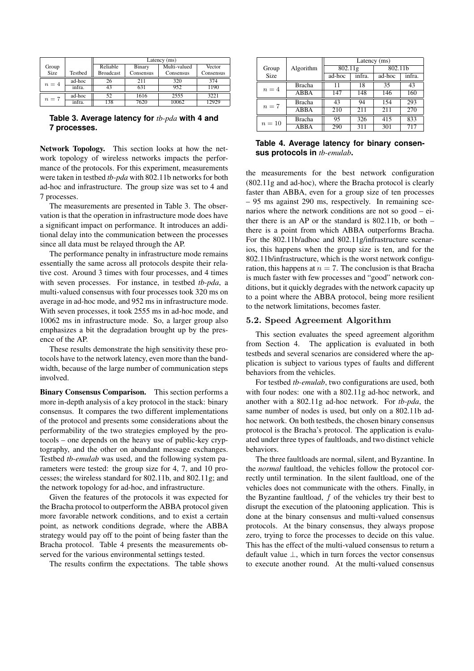|       |         | Latency (ms)     |           |              |           |
|-------|---------|------------------|-----------|--------------|-----------|
| Group |         | Reliable         | Binary    | Multi-valued | Vector    |
| Size  | Testbed | <b>Broadcast</b> | Consensus | Consensus    | Consensus |
| $n=4$ | ad-hoc  |                  | 211       | 320          | 374       |
|       | infra.  | 43               | 631       | 952          | 1190      |
| $n=7$ | ad-hoc  | 52               | 1616      | 2555         | 3221      |
|       | infra.  | 138              | 7620      | 10062        | 12929     |

**Table 3. Average latency for** *tb-pda* **with 4 and 7 processes.**

**Network Topology.** This section looks at how the network topology of wireless networks impacts the performance of the protocols. For this experiment, measurements were taken in testbed *tb-pda* with 802.11b networks for both ad-hoc and infrastructure. The group size was set to 4 and 7 processes.

The measurements are presented in Table 3. The observation is that the operation in infrastructure mode does have a significant impact on performance. It introduces an additional delay into the communication between the processes since all data must be relayed through the AP.

The performance penalty in infrastructure mode remains essentially the same across all protocols despite their relative cost. Around 3 times with four processes, and 4 times with seven processes. For instance, in testbed *tb-pda*, a multi-valued consensus with four processes took 320 ms on average in ad-hoc mode, and 952 ms in infrastructure mode. With seven processes, it took 2555 ms in ad-hoc mode, and 10062 ms in infrastructure mode. So, a larger group also emphasizes a bit the degradation brought up by the presence of the AP.

These results demonstrate the high sensitivity these protocols have to the network latency, even more than the bandwidth, because of the large number of communication steps involved.

**Binary Consensus Comparison.** This section performs a more in-depth analysis of a key protocol in the stack: binary consensus. It compares the two different implementations of the protocol and presents some considerations about the performability of the two strategies employed by the protocols – one depends on the heavy use of public-key cryptography, and the other on abundant message exchanges. Testbed *tb-emulab* was used, and the following system parameters were tested: the group size for 4, 7, and 10 processes; the wireless standard for 802.11b, and 802.11g; and the network topology for ad-hoc, and infrastructure.

Given the features of the protocols it was expected for the Bracha protocol to outperform the ABBA protocol given more favorable network conditions, and to exist a certain point, as network conditions degrade, where the ABBA strategy would pay off to the point of being faster than the Bracha protocol. Table 4 presents the measurements observed for the various environmental settings tested.

The results confirm the expectations. The table shows

|        |               | Latency (ms) |         |        |                     |
|--------|---------------|--------------|---------|--------|---------------------|
| Group  | Algorithm     |              | 802.11g |        | 802.11 <sub>b</sub> |
| Size   |               | ad-hoc       | infra.  | ad-hoc | infra.              |
|        | Bracha        | 11           | 18      | 35     | 43                  |
| $n=4$  | <b>ABBA</b>   | 147          | 148     | 146    | 160                 |
| $n=7$  | <b>Bracha</b> | 43           | 94      | 154    | 293                 |
|        | <b>ABBA</b>   | 210          | 211     | 211    | 270                 |
| $n=10$ | Bracha        | 95           | 326     | 415    | 833                 |
|        | <b>ABBA</b>   | 290          | 311     | 301    | 717                 |

**Table 4. Average latency for binary consensus protocols in** *tb-emulab***.**

the measurements for the best network configuration (802.11g and ad-hoc), where the Bracha protocol is clearly faster than ABBA, even for a group size of ten processes – 95 ms against 290 ms, respectively. In remaining scenarios where the network conditions are not so good – either there is an AP or the standard is 802.11b, or both – there is a point from which ABBA outperforms Bracha. For the 802.11b/adhoc and 802.11g/infrastructure scenarios, this happens when the group size is ten, and for the 802.11b/infrastructure, which is the worst network configuration, this happens at  $n = 7$ . The conclusion is that Bracha is much faster with few processes and "good" network conditions, but it quickly degrades with the network capacity up to a point where the ABBA protocol, being more resilient to the network limitations, becomes faster.

### 5.2. Speed Agreement Algorithm

This section evaluates the speed agreement algorithm from Section 4. The application is evaluated in both testbeds and several scenarios are considered where the application is subject to various types of faults and different behaviors from the vehicles.

For testbed *tb-emulab*, two configurations are used, both with four nodes: one with a 802.11g ad-hoc network, and another with a 802.11g ad-hoc network. For *tb-pda*, the same number of nodes is used, but only on a 802.11b adhoc network. On both testbeds, the chosen binary consensus protocol is the Bracha's protocol. The application is evaluated under three types of faultloads, and two distinct vehicle behaviors.

The three faultloads are normal, silent, and Byzantine. In the *normal* faultload, the vehicles follow the protocol correctly until termination. In the silent faultload, one of the vehicles does not communicate with the others. Finally, in the Byzantine faultload,  $f$  of the vehicles try their best to disrupt the execution of the platooning application. This is done at the binary consensus and multi-valued consensus protocols. At the binary consensus, they always propose zero, trying to force the processes to decide on this value. This has the effect of the multi-valued consensus to return a default value ⊥, which in turn forces the vector consensus to execute another round. At the multi-valued consensus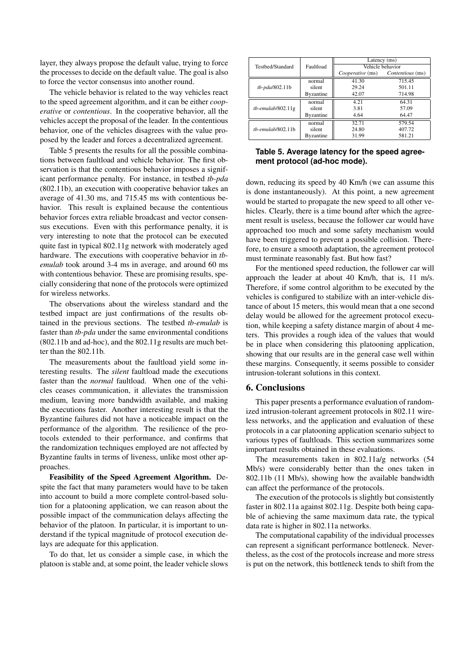layer, they always propose the default value, trying to force the processes to decide on the default value. The goal is also to force the vector consensus into another round.

The vehicle behavior is related to the way vehicles react to the speed agreement algorithm, and it can be either *cooperative* or *contentious*. In the cooperative behavior, all the vehicles accept the proposal of the leader. In the contentious behavior, one of the vehicles disagrees with the value proposed by the leader and forces a decentralized agreement.

Table 5 presents the results for all the possible combinations between faultload and vehicle behavior. The first observation is that the contentious behavior imposes a significant performance penalty. For instance, in testbed *tb-pda* (802.11b), an execution with cooperative behavior takes an average of 41.30 ms, and 715.45 ms with contentious behavior. This result is explained because the contentious behavior forces extra reliable broadcast and vector consensus executions. Even with this performance penalty, it is very interesting to note that the protocol can be executed quite fast in typical 802.11g network with moderately aged hardware. The executions with cooperative behavior in *tbemulab* took around 3-4 ms in average, and around 60 ms with contentious behavior. These are promising results, specially considering that none of the protocols were optimized for wireless networks.

The observations about the wireless standard and the testbed impact are just confirmations of the results obtained in the previous sections. The testbed *tb-emulab* is faster than *tb-pda* under the same environmental conditions (802.11b and ad-hoc), and the 802.11g results are much better than the 802.11b.

The measurements about the faultload yield some interesting results. The *silent* faultload made the executions faster than the *normal* faultload. When one of the vehicles ceases communication, it alleviates the transmission medium, leaving more bandwidth available, and making the executions faster. Another interesting result is that the Byzantine failures did not have a noticeable impact on the performance of the algorithm. The resilience of the protocols extended to their performance, and confirms that the randomization techniques employed are not affected by Byzantine faults in terms of liveness, unlike most other approaches.

**Feasibility of the Speed Agreement Algorithm.** Despite the fact that many parameters would have to be taken into account to build a more complete control-based solution for a platooning application, we can reason about the possible impact of the communication delays affecting the behavior of the platoon. In particular, it is important to understand if the typical magnitude of protocol execution delays are adequate for this application.

To do that, let us consider a simple case, in which the platoon is stable and, at some point, the leader vehicle slows

|                      |                  | Latency (ms)                      |        |  |  |
|----------------------|------------------|-----------------------------------|--------|--|--|
| Testbed/Standard     | Faultload        | Vehicle behavior                  |        |  |  |
|                      |                  | Cooperative (ms) Contentious (ms) |        |  |  |
|                      | normal           | 41.30                             | 715.45 |  |  |
| tb-pda/802.11b       | silent           | 29.24                             | 501.11 |  |  |
|                      | <b>Byzantine</b> | 42.07                             | 714.98 |  |  |
|                      | normal           | 4.21                              | 64.31  |  |  |
| $tb$ -emulab/802.11g | silent           | 3.81                              | 57.09  |  |  |
|                      | <b>Byzantine</b> | 4.64                              | 64.47  |  |  |
|                      | normal           | 32.71                             | 579.54 |  |  |
| th-emulah/802.11b    | silent           | 24.80                             | 407.72 |  |  |
|                      | <b>Byzantine</b> | 31.99                             | 581.21 |  |  |

### **Table 5. Average latency for the speed agreement protocol (ad-hoc mode).**

down, reducing its speed by 40 Km/h (we can assume this is done instantaneously). At this point, a new agreement would be started to propagate the new speed to all other vehicles. Clearly, there is a time bound after which the agreement result is useless, because the follower car would have approached too much and some safety mechanism would have been triggered to prevent a possible collision. Therefore, to ensure a smooth adaptation, the agreement protocol must terminate reasonably fast. But how fast?

For the mentioned speed reduction, the follower car will approach the leader at about 40 Km/h, that is, 11 m/s. Therefore, if some control algorithm to be executed by the vehicles is configured to stabilize with an inter-vehicle distance of about 15 meters, this would mean that a one second delay would be allowed for the agreement protocol execution, while keeping a safety distance margin of about 4 meters. This provides a rough idea of the values that would be in place when considering this platooning application, showing that our results are in the general case well within these margins. Consequently, it seems possible to consider intrusion-tolerant solutions in this context.

### **6. Conclusions**

This paper presents a performance evaluation of randomized intrusion-tolerant agreement protocols in 802.11 wireless networks, and the application and evaluation of these protocols in a car platooning application scenario subject to various types of faultloads. This section summarizes some important results obtained in these evaluations.

The measurements taken in 802.11a/g networks (54 Mb/s) were considerably better than the ones taken in 802.11b (11 Mb/s), showing how the available bandwidth can affect the performance of the protocols.

The execution of the protocols is slightly but consistently faster in 802.11a against 802.11g. Despite both being capable of achieving the same maximum data rate, the typical data rate is higher in 802.11a networks.

The computational capability of the individual processes can represent a significant performance bottleneck. Nevertheless, as the cost of the protocols increase and more stress is put on the network, this bottleneck tends to shift from the